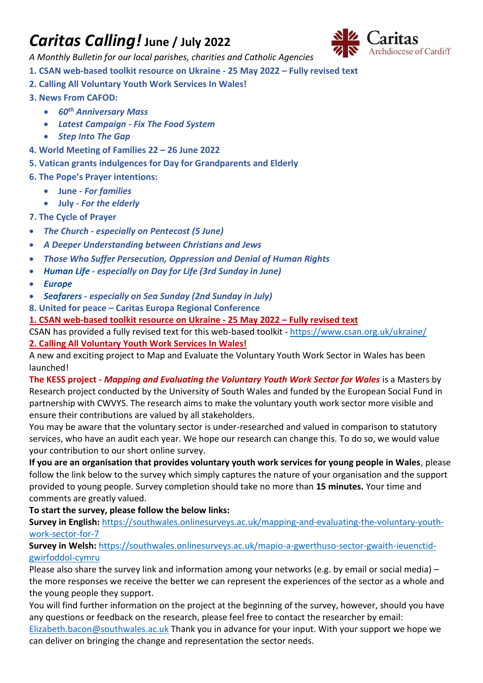# *Caritas Calling!* **June / July 2022**



*A Monthly Bulletin for our local parishes, charities and Catholic Agencies*

**1. CSAN web-based toolkit resource on Ukraine - 25 May 2022 – Fully revised text**

- **2. Calling All Voluntary Youth Work Services In Wales!**
- **3. News From CAFOD:** 
	- *60th Anniversary Mass*
	- *Latest Campaign - [Fix The Food System](https://cafod.org.uk/Campaign/Fix-the-food-system)*
	- *Step Into The Gap*
- **4. World Meeting of Families 22 – 26 June 2022**
- **5. Vatican grants indulgences for Day for Grandparents and Elderly**
- **6. The Pope's Prayer intentions:**
	- **June -** *For families*
	- **July -** *For the elderly*
- **7. The Cycle of Prayer**
- *[The Church](http://www.liturgyoffice.org.uk/Calendar/Cycle/EasterCP.shtml#Church) - especially on [Pentecost](http://www.liturgyoffice.org.uk/Calendar/Sunday/EasterSunday.shtml#Pentecost) (5 June)*
- *[A Deeper Understanding between Christians and Jews](http://www.liturgyoffice.org.uk/Calendar/Cycle/SummerCP.shtml#Rights)*
- *[Those Who Suffer Persecution, Oppression and Denial of Human Rights](http://www.liturgyoffice.org.uk/Calendar/Cycle/SummerCP.shtml#Rights)*
- *[Human Life](http://www.liturgyoffice.org.uk/Calendar/Cycle/SummerCP.shtml#Life) - especially on Day for Life (3rd Sunday in June)*
- *[Europe](http://www.liturgyoffice.org.uk/Calendar/Cycle/SummerCP.shtml#Europe)*
- *[Seafarers](http://www.liturgyoffice.org.uk/Calendar/Cycle/SummerCP.shtml#Sea) - especially on Sea Sunday (2nd Sunday in July)*
- **8. United for peace – Caritas Europa Regional Conference**

**1. CSAN web-based toolkit resource on Ukraine - 25 May 2022 – Fully revised text**

CSAN has provided a fully revised text for this web-based toolkit - <https://www.csan.org.uk/ukraine/> **2. Calling All Voluntary Youth Work Services In Wales!**

A new and exciting project to Map and Evaluate the Voluntary Youth Work Sector in Wales has been launched!

**The KESS project -** *Mapping and Evaluating the Voluntary Youth Work Sector for Wales* is a Masters by Research project conducted by the University of South Wales and funded by the European Social Fund in partnership with CWVYS. The research aims to make the voluntary youth work sector more visible and ensure their contributions are valued by all stakeholders.

You may be aware that the voluntary sector is under-researched and valued in comparison to statutory services, who have an audit each year. We hope our research can change this. To do so, we would value your contribution to our short online survey.

**If you are an organisation that provides voluntary youth work services for young people in Wales**, please follow the link below to the survey which simply captures the nature of your organisation and the support provided to young people. Survey completion should take no more than **15 minutes.** Your time and comments are greatly valued.

# **To start the survey, please follow the below links:**

**Survey in English:** [https://southwales.onlinesurveys.ac.uk/mapping-and-evaluating-the-voluntary-youth](https://southwales.onlinesurveys.ac.uk/mapping-and-evaluating-the-voluntary-youth-work-sector-for-7)[work-sector-for-7](https://southwales.onlinesurveys.ac.uk/mapping-and-evaluating-the-voluntary-youth-work-sector-for-7)

#### **Survey in Welsh:** [https://southwales.onlinesurveys.ac.uk/mapio-a-gwerthuso-sector-gwaith-ieuenctid](https://southwales.onlinesurveys.ac.uk/mapio-a-gwerthuso-sector-gwaith-ieuenctid-gwirfoddol-cymru)[gwirfoddol-cymru](https://southwales.onlinesurveys.ac.uk/mapio-a-gwerthuso-sector-gwaith-ieuenctid-gwirfoddol-cymru)

Please also share the survey link and information among your networks (e.g. by email or social media) – the more responses we receive the better we can represent the experiences of the sector as a whole and the young people they support.

You will find further information on the project at the beginning of the survey, however, should you have any questions or feedback on the research, please feel free to contact the researcher by email:

[Elizabeth.bacon@southwales.ac.uk](mailto:Elizabeth.bacon@southwales.ac.uk) Thank you in advance for your input. With your support we hope we can deliver on bringing the change and representation the sector needs.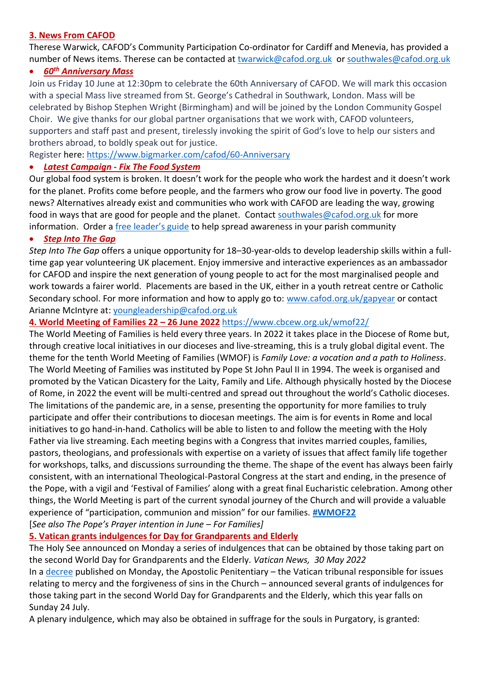#### **3. News From CAFOD**

Therese Warwick, CAFOD's Community Participation Co-ordinator for Cardiff and Menevia, has provided a number of News items. Therese can be contacted at [twarwick@cafod.org.uk](mailto:twarwick@cafod.org.uk) or [southwales@cafod.org.uk](mailto:southwales@cafod.org.uk)

#### • *60th Anniversary Mass*

Join us Friday 10 June at 12:30pm to celebrate the 60th Anniversary of CAFOD. We will mark this occasion with a special Mass live streamed from St. George's Cathedral in Southwark, London. Mass will be celebrated by Bishop Stephen Wright (Birmingham) and will be joined by the London Community Gospel Choir. We give thanks for our global partner organisations that we work with, CAFOD volunteers, supporters and staff past and present, tirelessly invoking the spirit of God's love to help our sisters and brothers abroad, to boldly speak out for justice.

Register here:<https://www.bigmarker.com/cafod/60-Anniversary>

#### • *Latest Campaign* **-** *[Fix The Food System](https://cafod.org.uk/Campaign/Fix-the-food-system)*

Our global food system is broken. It doesn't work for the people who work the hardest and it doesn't work for the planet. Profits come before people, and the farmers who grow our food live in poverty. The good news? Alternatives already exist and communities who work with CAFOD are leading the way, growing food in ways that are good for people and the planet. Contact [southwales@cafod.org.uk](mailto:southwales@cafod.org.uk) for more information. Order a [free leader's guide](https://shop.cafod.org.uk/collections/reclaim-our-common-home/products/fix-the-food-system-leaders-guide) to help spread awareness in your parish community

#### • *Step Into The Gap*

*Step Into The Gap* offers a unique opportunity for 18–30-year-olds to develop leadership skills within a fulltime gap year volunteering UK placement. Enjoy immersive and interactive experiences as an ambassador for CAFOD and inspire the next generation of young people to act for the most marginalised people and work towards a fairer world. Placements are based in the UK, either in a youth retreat centre or Catholic Secondary school. For more information and how to apply go to: [www.cafod.org.uk/gapyear](http://www.cafod.org.uk/gapyear) or contact Arianne McIntyre at: [youngleadership@cafod.org.uk](mailto:youngleadership@cafod.org.uk)

**4. World Meeting of Families 22 – 26 June 2022** <https://www.cbcew.org.uk/wmof22/>

The World Meeting of Families is held every three years. In 2022 it takes place in the Diocese of Rome but, through creative local initiatives in our dioceses and live-streaming, this is a truly global digital event. The theme for the tenth World Meeting of Families (WMOF) is *Family Love: a vocation and a path to Holiness*. The World Meeting of Families was instituted by Pope St John Paul II in 1994. The week is organised and promoted by the Vatican Dicastery for the Laity, Family and Life. Although physically hosted by the Diocese of Rome, in 2022 the event will be multi-centred and spread out throughout the world's Catholic dioceses. The limitations of the pandemic are, in a sense, presenting the opportunity for more families to truly participate and offer their contributions to diocesan meetings. The aim is for events in Rome and local initiatives to go hand-in-hand. Catholics will be able to listen to and follow the meeting with the Holy Father via live streaming. Each meeting begins with a Congress that invites married couples, families, pastors, theologians, and professionals with expertise on a variety of issues that affect family life together for workshops, talks, and discussions surrounding the theme. The shape of the event has always been fairly consistent, with an international Theological-Pastoral Congress at the start and ending, in the presence of the Pope, with a vigil and 'Festival of Families' along with a great final Eucharistic celebration. Among other things, the World Meeting is part of the current synodal journey of the Church and will provide a valuable experience of "participation, communion and mission" for our families. **[#WMOF22](https://twitter.com/hashtag/WMOF2022?src=hashtag_click)** [*See also The Pope's Prayer intention in June – For Families]*

# **5. Vatican grants indulgences for Day for Grandparents and Elderly**

The Holy See announced on Monday a series of indulgences that can be obtained by those taking part on the second World Day for Grandparents and the Elderly. *Vatican News, 30 May 2022*

In a [decree](https://press.vatican.va/content/salastampa/it/bollettino/pubblico/2022/05/30/0411/00850.html) published on Monday, the Apostolic Penitentiary – the Vatican tribunal responsible for issues relating to mercy and the forgiveness of sins in the Church – announced several grants of indulgences for those taking part in the second World Day for Grandparents and the Elderly, which this year falls on Sunday 24 July.

A plenary indulgence, which may also be obtained in suffrage for the souls in Purgatory, is granted: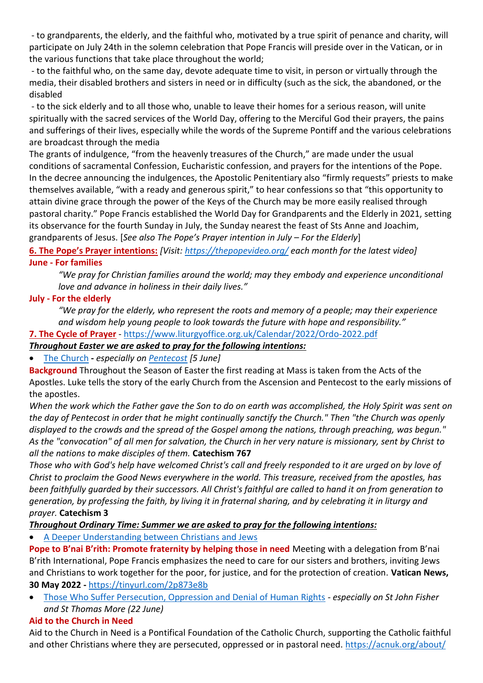- to grandparents, the elderly, and the faithful who, motivated by a true spirit of penance and charity, will participate on July 24th in the solemn celebration that Pope Francis will preside over in the Vatican, or in the various functions that take place throughout the world;

- to the faithful who, on the same day, devote adequate time to visit, in person or virtually through the media, their disabled brothers and sisters in need or in difficulty (such as the sick, the abandoned, or the disabled

- to the sick elderly and to all those who, unable to leave their homes for a serious reason, will unite spiritually with the sacred services of the World Day, offering to the Merciful God their prayers, the pains and sufferings of their lives, especially while the words of the Supreme Pontiff and the various celebrations are broadcast through the media

The grants of indulgence, "from the heavenly treasures of the Church," are made under the usual conditions of sacramental Confession, Eucharistic confession, and prayers for the intentions of the Pope. In the decree announcing the indulgences, the Apostolic Penitentiary also "firmly requests" priests to make themselves available, "with a ready and generous spirit," to hear confessions so that "this opportunity to attain divine grace through the power of the Keys of the Church may be more easily realised through pastoral charity." Pope Francis established the World Day for Grandparents and the Elderly in 2021, setting its observance for the fourth Sunday in July, the Sunday nearest the feast of Sts Anne and Joachim, grandparents of Jesus. [*See also The Pope's Prayer intention in July – For the Elderly*]

#### **6. The Pope's Prayer intentions:** *[Visit:<https://thepopevideo.org/> each month for the latest video]* **June - For families**

*"We pray for Christian families around the world; may they embody and experience unconditional love and advance in holiness in their daily lives."*

## **July - For the elderly**

*"We pray for the elderly, who represent the roots and memory of a people; may their experience and wisdom help young people to look towards the future with hope and responsibility."*

## **7. The Cycle of Prayer** - <https://www.liturgyoffice.org.uk/Calendar/2022/Ordo-2022.pdf>

## *Throughout Easter we are asked to pray for the following intentions:*

• [The Church](http://www.liturgyoffice.org.uk/Calendar/Cycle/EasterCP.shtml#Church) **-** *especially on [Pentecost](http://www.liturgyoffice.org.uk/Calendar/Sunday/EasterSunday.shtml#Pentecost) [5 June]*

**Background** Throughout the Season of Easter the first reading at Mass is taken from the Acts of the Apostles. Luke tells the story of the early Church from the Ascension and Pentecost to the early missions of the apostles.

*When the work which the Father gave the Son to do on earth was accomplished, the Holy Spirit was sent on the day of Pentecost in order that he might continually sanctify the Church." Then "the Church was openly displayed to the crowds and the spread of the Gospel among the nations, through preaching, was begun." As the "convocation" of all men for salvation, the Church in her very nature is missionary, sent by Christ to all the nations to make disciples of them.* **Catechism 767**

*Those who with God's help have welcomed Christ's call and freely responded to it are urged on by love of Christ to proclaim the Good News everywhere in the world. This treasure, received from the apostles, has been faithfully guarded by their successors. All Christ's faithful are called to hand it on from generation to generation, by professing the faith, by living it in fraternal sharing, and by celebrating it in liturgy and prayer.* **Catechism 3**

*Throughout Ordinary Time: Summer we are asked to pray for the following intentions:*

• [A Deeper Understanding between Christians and Jews](http://www.liturgyoffice.org.uk/Calendar/Cycle/SummerCP.shtml#Rights)

**Pope to B'nai B'rith: Promote fraternity by helping those in need** Meeting with a delegation from B'nai B'rith International, Pope Francis emphasizes the need to care for our sisters and brothers, inviting Jews and Christians to work together for the poor, for justice, and for the protection of creation. **Vatican News, 30 May 2022 -** <https://tinyurl.com/2p873e8b>

• [Those Who Suffer Persecution, Oppression and Denial of Human Rights](http://www.liturgyoffice.org.uk/Calendar/Cycle/SummerCP.shtml#Rights) *- especially on St John Fisher and St Thomas More (22 June)*

# **Aid to the Church in Need**

Aid to the Church in Need is a Pontifical Foundation of the Catholic Church, supporting the Catholic faithful and other Christians where they are persecuted, oppressed or in pastoral need.<https://acnuk.org/about/>